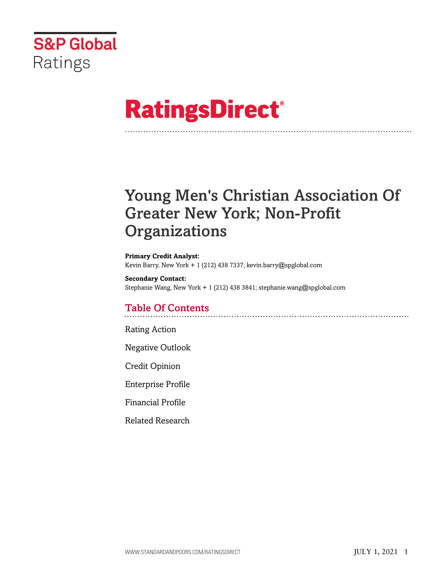

# **RatingsDirect®**

# Young Men's Christian Association Of Greater New York; Non-Profit **Organizations**

**Primary Credit Analyst:** Kevin Barry, New York + 1 (212) 438 7337; kevin.barry@spglobal.com

**Secondary Contact:** Stephanie Wang, New York + 1 (212) 438 3841; stephanie.wang@spglobal.com

# Table Of Contents

[Rating Action](#page-1-0)

[Negative Outlook](#page-3-0)

[Credit Opinion](#page-3-1)

[Enterprise Profile](#page-3-2)

[Financial Profile](#page-5-0)

[Related Research](#page-7-0)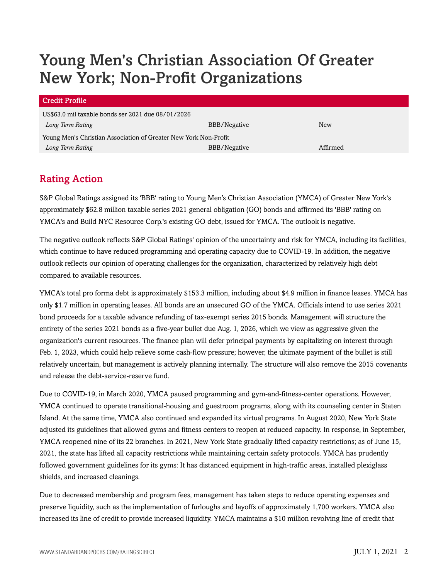# Young Men's Christian Association Of Greater New York; Non-Profit Organizations

| <b>Credit Profile</b>                                            |              |          |  |
|------------------------------------------------------------------|--------------|----------|--|
| US\$63.0 mil taxable bonds ser 2021 due 08/01/2026               |              |          |  |
| Long Term Rating                                                 | BBB/Negative | New      |  |
| Young Men's Christian Association of Greater New York Non-Profit |              |          |  |
| Long Term Rating                                                 | BBB/Negative | Affirmed |  |

# <span id="page-1-0"></span>Rating Action

S&P Global Ratings assigned its 'BBB' rating to Young Men's Christian Association (YMCA) of Greater New York's approximately \$62.8 million taxable series 2021 general obligation (GO) bonds and affirmed its 'BBB' rating on YMCA's and Build NYC Resource Corp.'s existing GO debt, issued for YMCA. The outlook is negative.

The negative outlook reflects S&P Global Ratings' opinion of the uncertainty and risk for YMCA, including its facilities, which continue to have reduced programming and operating capacity due to COVID-19. In addition, the negative outlook reflects our opinion of operating challenges for the organization, characterized by relatively high debt compared to available resources.

YMCA's total pro forma debt is approximately \$153.3 million, including about \$4.9 million in finance leases. YMCA has only \$1.7 million in operating leases. All bonds are an unsecured GO of the YMCA. Officials intend to use series 2021 bond proceeds for a taxable advance refunding of tax-exempt series 2015 bonds. Management will structure the entirety of the series 2021 bonds as a five-year bullet due Aug. 1, 2026, which we view as aggressive given the organization's current resources. The finance plan will defer principal payments by capitalizing on interest through Feb. 1, 2023, which could help relieve some cash-flow pressure; however, the ultimate payment of the bullet is still relatively uncertain, but management is actively planning internally. The structure will also remove the 2015 covenants and release the debt-service-reserve fund.

Due to COVID-19, in March 2020, YMCA paused programming and gym-and-fitness-center operations. However, YMCA continued to operate transitional-housing and guestroom programs, along with its counseling center in Staten Island. At the same time, YMCA also continued and expanded its virtual programs. In August 2020, New York State adjusted its guidelines that allowed gyms and fitness centers to reopen at reduced capacity. In response, in September, YMCA reopened nine of its 22 branches. In 2021, New York State gradually lifted capacity restrictions; as of June 15, 2021, the state has lifted all capacity restrictions while maintaining certain safety protocols. YMCA has prudently followed government guidelines for its gyms: It has distanced equipment in high-traffic areas, installed plexiglass shields, and increased cleanings.

Due to decreased membership and program fees, management has taken steps to reduce operating expenses and preserve liquidity, such as the implementation of furloughs and layoffs of approximately 1,700 workers. YMCA also increased its line of credit to provide increased liquidity. YMCA maintains a \$10 million revolving line of credit that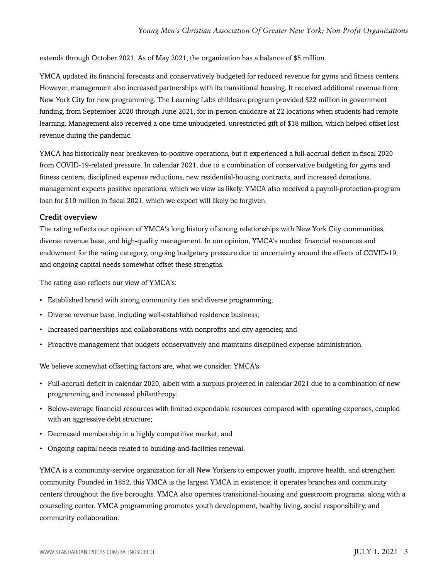extends through October 2021. As of May 2021, the organization has a balance of \$5 million.

YMCA updated its financial forecasts and conservatively budgeted for reduced revenue for gyms and fitness centers. However, management also increased partnerships with its transitional housing. It received additional revenue from New York City for new programming. The Learning Labs childcare program provided \$22 million in government funding, from September 2020 through June 2021, for in-person childcare at 22 locations when students had remote learning. Management also received a one-time unbudgeted, unrestricted gift of \$18 million, which helped offset lost revenue during the pandemic.

YMCA has historically near breakeven-to-positive operations, but it experienced a full-accrual deficit in fiscal 2020 from COVID-19-related pressure. In calendar 2021, due to a combination of conservative budgeting for gyms and fitness centers, disciplined expense reductions, new residential-housing contracts, and increased donations, management expects positive operations, which we view as likely. YMCA also received a payroll-protection-program loan for \$10 million in fiscal 2021, which we expect will likely be forgiven.

#### Credit overview

The rating reflects our opinion of YMCA's long history of strong relationships with New York City communities, diverse revenue base, and high-quality management. In our opinion, YMCA's modest financial resources and endowment for the rating category, ongoing budgetary pressure due to uncertainty around the effects of COVID-19, and ongoing capital needs somewhat offset these strengths.

The rating also reflects our view of YMCA's:

- Established brand with strong community ties and diverse programming;
- Diverse revenue base, including well-established residence business;
- Increased partnerships and collaborations with nonprofits and city agencies; and
- Proactive management that budgets conservatively and maintains disciplined expense administration.

We believe somewhat offsetting factors are, what we consider, YMCA's:

- Full-accrual deficit in calendar 2020, albeit with a surplus projected in calendar 2021 due to a combination of new programming and increased philanthropy;
- Below-average financial resources with limited expendable resources compared with operating expenses, coupled with an aggressive debt structure;
- Decreased membership in a highly competitive market; and
- Ongoing capital needs related to building-and-facilities renewal.

YMCA is a community-service organization for all New Yorkers to empower youth, improve health, and strengthen community. Founded in 1852, this YMCA is the largest YMCA in existence; it operates branches and community centers throughout the five boroughs. YMCA also operates transitional-housing and guestroom programs, along with a counseling center. YMCA programming promotes youth development, healthy living, social responsibility, and community collaboration.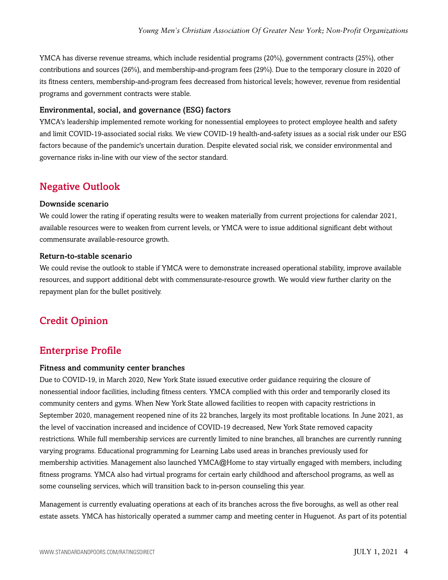YMCA has diverse revenue streams, which include residential programs (20%), government contracts (25%), other contributions and sources (26%), and membership-and-program fees (29%). Due to the temporary closure in 2020 of its fitness centers, membership-and-program fees decreased from historical levels; however, revenue from residential programs and government contracts were stable.

#### Environmental, social, and governance (ESG) factors

YMCA's leadership implemented remote working for nonessential employees to protect employee health and safety and limit COVID-19-associated social risks. We view COVID-19 health-and-safety issues as a social risk under our ESG factors because of the pandemic's uncertain duration. Despite elevated social risk, we consider environmental and governance risks in-line with our view of the sector standard.

### <span id="page-3-0"></span>Negative Outlook

#### Downside scenario

We could lower the rating if operating results were to weaken materially from current projections for calendar 2021, available resources were to weaken from current levels, or YMCA were to issue additional significant debt without commensurate available-resource growth.

#### Return-to-stable scenario

We could revise the outlook to stable if YMCA were to demonstrate increased operational stability, improve available resources, and support additional debt with commensurate-resource growth. We would view further clarity on the repayment plan for the bullet positively.

# <span id="page-3-2"></span><span id="page-3-1"></span>Credit Opinion

### Enterprise Profile

#### Fitness and community center branches

Due to COVID-19, in March 2020, New York State issued executive order guidance requiring the closure of nonessential indoor facilities, including fitness centers. YMCA complied with this order and temporarily closed its community centers and gyms. When New York State allowed facilities to reopen with capacity restrictions in September 2020, management reopened nine of its 22 branches, largely its most profitable locations. In June 2021, as the level of vaccination increased and incidence of COVID-19 decreased, New York State removed capacity restrictions. While full membership services are currently limited to nine branches, all branches are currently running varying programs. Educational programming for Learning Labs used areas in branches previously used for membership activities. Management also launched YMCA@Home to stay virtually engaged with members, including fitness programs. YMCA also had virtual programs for certain early childhood and afterschool programs, as well as some counseling services, which will transition back to in-person counseling this year.

Management is currently evaluating operations at each of its branches across the five boroughs, as well as other real estate assets. YMCA has historically operated a summer camp and meeting center in Huguenot. As part of its potential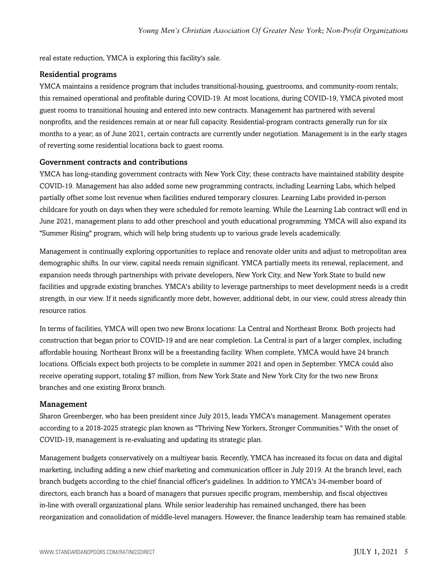real estate reduction, YMCA is exploring this facility's sale.

#### Residential programs

YMCA maintains a residence program that includes transitional-housing, guestrooms, and community-room rentals; this remained operational and profitable during COVID-19. At most locations, during COVID-19, YMCA pivoted most guest rooms to transitional housing and entered into new contracts. Management has partnered with several nonprofits, and the residences remain at or near full capacity. Residential-program contracts generally run for six months to a year; as of June 2021, certain contracts are currently under negotiation. Management is in the early stages of reverting some residential locations back to guest rooms.

#### Government contracts and contributions

YMCA has long-standing government contracts with New York City; these contracts have maintained stability despite COVID-19. Management has also added some new programming contracts, including Learning Labs, which helped partially offset some lost revenue when facilities endured temporary closures. Learning Labs provided in-person childcare for youth on days when they were scheduled for remote learning. While the Learning Lab contract will end in June 2021, management plans to add other preschool and youth educational programming. YMCA will also expand its "Summer Rising" program, which will help bring students up to various grade levels academically.

Management is continually exploring opportunities to replace and renovate older units and adjust to metropolitan area demographic shifts. In our view, capital needs remain significant. YMCA partially meets its renewal, replacement, and expansion needs through partnerships with private developers, New York City, and New York State to build new facilities and upgrade existing branches. YMCA's ability to leverage partnerships to meet development needs is a credit strength, in our view. If it needs significantly more debt, however, additional debt, in our view, could stress already thin resource ratios.

In terms of facilities, YMCA will open two new Bronx locations: La Central and Northeast Bronx. Both projects had construction that began prior to COVID-19 and are near completion. La Central is part of a larger complex, including affordable housing. Northeast Bronx will be a freestanding facility. When complete, YMCA would have 24 branch locations. Officials expect both projects to be complete in summer 2021 and open in September. YMCA could also receive operating support, totaling \$7 million, from New York State and New York City for the two new Bronx branches and one existing Bronx branch.

#### Management

Sharon Greenberger, who has been president since July 2015, leads YMCA's management. Management operates according to a 2018-2025 strategic plan known as "Thriving New Yorkers, Stronger Communities." With the onset of COVID-19, management is re-evaluating and updating its strategic plan.

Management budgets conservatively on a multiyear basis. Recently, YMCA has increased its focus on data and digital marketing, including adding a new chief marketing and communication officer in July 2019. At the branch level, each branch budgets according to the chief financial officer's guidelines. In addition to YMCA's 34-member board of directors, each branch has a board of managers that pursues specific program, membership, and fiscal objectives in-line with overall organizational plans. While senior leadership has remained unchanged, there has been reorganization and consolidation of middle-level managers. However, the finance leadership team has remained stable.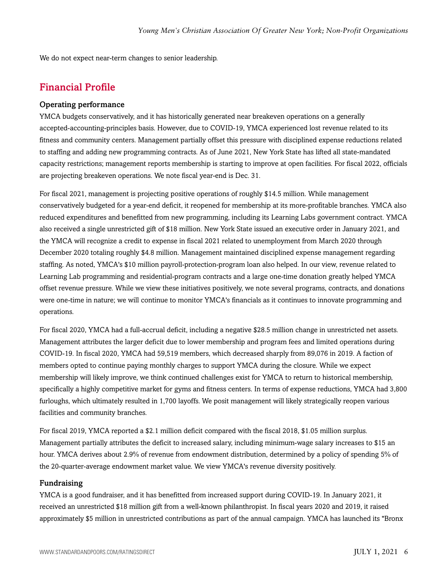<span id="page-5-0"></span>We do not expect near-term changes to senior leadership.

## Financial Profile

#### Operating performance

YMCA budgets conservatively, and it has historically generated near breakeven operations on a generally accepted-accounting-principles basis. However, due to COVID-19, YMCA experienced lost revenue related to its fitness and community centers. Management partially offset this pressure with disciplined expense reductions related to staffing and adding new programming contracts. As of June 2021, New York State has lifted all state-mandated capacity restrictions; management reports membership is starting to improve at open facilities. For fiscal 2022, officials are projecting breakeven operations. We note fiscal year-end is Dec. 31.

For fiscal 2021, management is projecting positive operations of roughly \$14.5 million. While management conservatively budgeted for a year-end deficit, it reopened for membership at its more-profitable branches. YMCA also reduced expenditures and benefitted from new programming, including its Learning Labs government contract. YMCA also received a single unrestricted gift of \$18 million. New York State issued an executive order in January 2021, and the YMCA will recognize a credit to expense in fiscal 2021 related to unemployment from March 2020 through December 2020 totaling roughly \$4.8 million. Management maintained disciplined expense management regarding staffing. As noted, YMCA's \$10 million payroll-protection-program loan also helped. In our view, revenue related to Learning Lab programming and residential-program contracts and a large one-time donation greatly helped YMCA offset revenue pressure. While we view these initiatives positively, we note several programs, contracts, and donations were one-time in nature; we will continue to monitor YMCA's financials as it continues to innovate programming and operations.

For fiscal 2020, YMCA had a full-accrual deficit, including a negative \$28.5 million change in unrestricted net assets. Management attributes the larger deficit due to lower membership and program fees and limited operations during COVID-19. In fiscal 2020, YMCA had 59,519 members, which decreased sharply from 89,076 in 2019. A faction of members opted to continue paying monthly charges to support YMCA during the closure. While we expect membership will likely improve, we think continued challenges exist for YMCA to return to historical membership, specifically a highly competitive market for gyms and fitness centers. In terms of expense reductions, YMCA had 3,800 furloughs, which ultimately resulted in 1,700 layoffs. We posit management will likely strategically reopen various facilities and community branches.

For fiscal 2019, YMCA reported a \$2.1 million deficit compared with the fiscal 2018, \$1.05 million surplus. Management partially attributes the deficit to increased salary, including minimum-wage salary increases to \$15 an hour. YMCA derives about 2.9% of revenue from endowment distribution, determined by a policy of spending 5% of the 20-quarter-average endowment market value. We view YMCA's revenue diversity positively.

#### Fundraising

YMCA is a good fundraiser, and it has benefitted from increased support during COVID-19. In January 2021, it received an unrestricted \$18 million gift from a well-known philanthropist. In fiscal years 2020 and 2019, it raised approximately \$5 million in unrestricted contributions as part of the annual campaign. YMCA has launched its "Bronx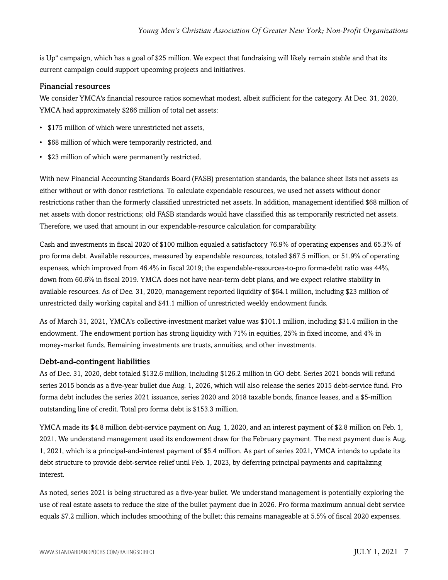is Up" campaign, which has a goal of \$25 million. We expect that fundraising will likely remain stable and that its current campaign could support upcoming projects and initiatives.

#### Financial resources

We consider YMCA's financial resource ratios somewhat modest, albeit sufficient for the category. At Dec. 31, 2020, YMCA had approximately \$266 million of total net assets:

- \$175 million of which were unrestricted net assets,
- \$68 million of which were temporarily restricted, and
- \$23 million of which were permanently restricted.

With new Financial Accounting Standards Board (FASB) presentation standards, the balance sheet lists net assets as either without or with donor restrictions. To calculate expendable resources, we used net assets without donor restrictions rather than the formerly classified unrestricted net assets. In addition, management identified \$68 million of net assets with donor restrictions; old FASB standards would have classified this as temporarily restricted net assets. Therefore, we used that amount in our expendable-resource calculation for comparability.

Cash and investments in fiscal 2020 of \$100 million equaled a satisfactory 76.9% of operating expenses and 65.3% of pro forma debt. Available resources, measured by expendable resources, totaled \$67.5 million, or 51.9% of operating expenses, which improved from 46.4% in fiscal 2019; the expendable-resources-to-pro forma-debt ratio was 44%, down from 60.6% in fiscal 2019. YMCA does not have near-term debt plans, and we expect relative stability in available resources. As of Dec. 31, 2020, management reported liquidity of \$64.1 million, including \$23 million of unrestricted daily working capital and \$41.1 million of unrestricted weekly endowment funds.

As of March 31, 2021, YMCA's collective-investment market value was \$101.1 million, including \$31.4 million in the endowment. The endowment portion has strong liquidity with 71% in equities, 25% in fixed income, and 4% in money-market funds. Remaining investments are trusts, annuities, and other investments.

#### Debt-and-contingent liabilities

As of Dec. 31, 2020, debt totaled \$132.6 million, including \$126.2 million in GO debt. Series 2021 bonds will refund series 2015 bonds as a five-year bullet due Aug. 1, 2026, which will also release the series 2015 debt-service fund. Pro forma debt includes the series 2021 issuance, series 2020 and 2018 taxable bonds, finance leases, and a \$5-million outstanding line of credit. Total pro forma debt is \$153.3 million.

YMCA made its \$4.8 million debt-service payment on Aug. 1, 2020, and an interest payment of \$2.8 million on Feb. 1, 2021. We understand management used its endowment draw for the February payment. The next payment due is Aug. 1, 2021, which is a principal-and-interest payment of \$5.4 million. As part of series 2021, YMCA intends to update its debt structure to provide debt-service relief until Feb. 1, 2023, by deferring principal payments and capitalizing interest.

As noted, series 2021 is being structured as a five-year bullet. We understand management is potentially exploring the use of real estate assets to reduce the size of the bullet payment due in 2026. Pro forma maximum annual debt service equals \$7.2 million, which includes smoothing of the bullet; this remains manageable at 5.5% of fiscal 2020 expenses.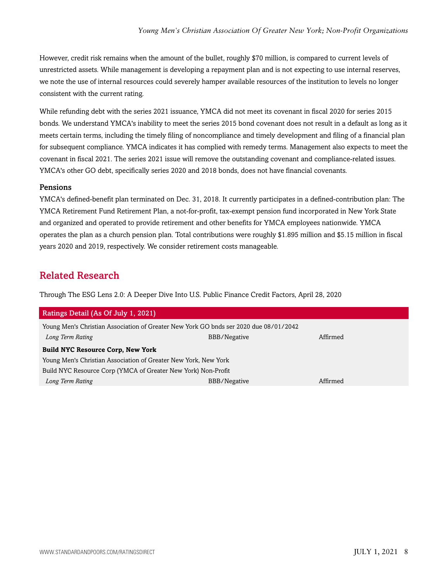However, credit risk remains when the amount of the bullet, roughly \$70 million, is compared to current levels of unrestricted assets. While management is developing a repayment plan and is not expecting to use internal reserves, we note the use of internal resources could severely hamper available resources of the institution to levels no longer consistent with the current rating.

While refunding debt with the series 2021 issuance, YMCA did not meet its covenant in fiscal 2020 for series 2015 bonds. We understand YMCA's inability to meet the series 2015 bond covenant does not result in a default as long as it meets certain terms, including the timely filing of noncompliance and timely development and filing of a financial plan for subsequent compliance. YMCA indicates it has complied with remedy terms. Management also expects to meet the covenant in fiscal 2021. The series 2021 issue will remove the outstanding covenant and compliance-related issues. YMCA's other GO debt, specifically series 2020 and 2018 bonds, does not have financial covenants.

#### Pensions

YMCA's defined-benefit plan terminated on Dec. 31, 2018. It currently participates in a defined-contribution plan: The YMCA Retirement Fund Retirement Plan, a not-for-profit, tax-exempt pension fund incorporated in New York State and organized and operated to provide retirement and other benefits for YMCA employees nationwide. YMCA operates the plan as a church pension plan. Total contributions were roughly \$1.895 million and \$5.15 million in fiscal years 2020 and 2019, respectively. We consider retirement costs manageable.

# <span id="page-7-0"></span>Related Research

Through The ESG Lens 2.0: A Deeper Dive Into U.S. Public Finance Credit Factors, April 28, 2020

| Ratings Detail (As Of July 1, 2021)                                                   |              |          |  |
|---------------------------------------------------------------------------------------|--------------|----------|--|
| Young Men's Christian Association of Greater New York GO bnds ser 2020 due 08/01/2042 |              |          |  |
| Long Term Rating                                                                      | BBB/Negative | Affirmed |  |
| <b>Build NYC Resource Corp, New York</b>                                              |              |          |  |
| Young Men's Christian Association of Greater New York, New York                       |              |          |  |
| Build NYC Resource Corp (YMCA of Greater New York) Non-Profit                         |              |          |  |
| Long Term Rating                                                                      | BBB/Negative | Affirmed |  |